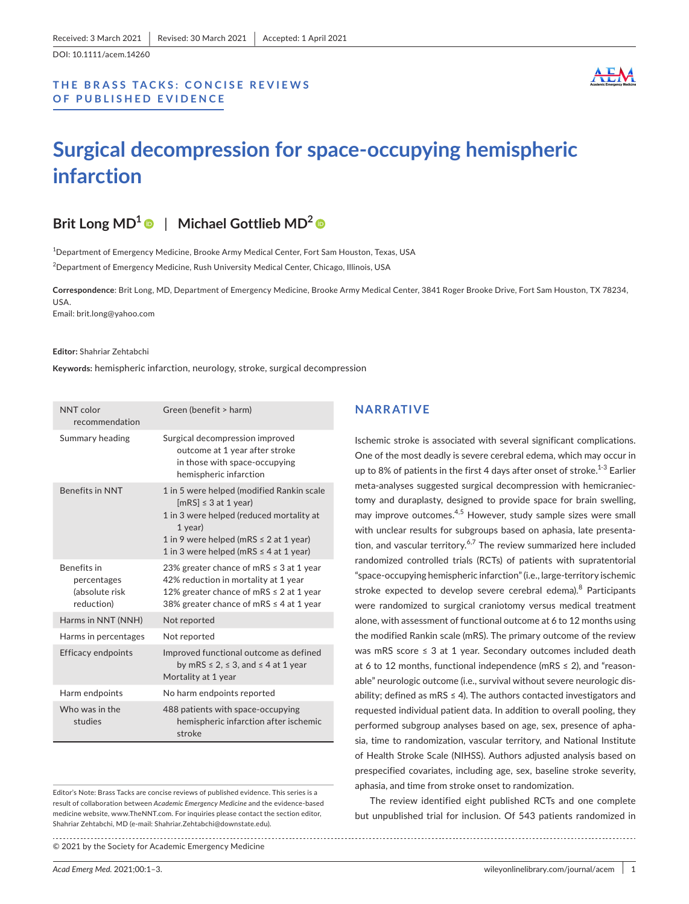DOI: 10.1111/acem.14260

## **THE BRASS TACKS: CONCISE REVIEWS OF PUBLISHED EVIDENCE**



# **Surgical decompression for space-occupying hemispheric infarction**

# **Brit Long MD[1](https://orcid.org/0000-0003-4770-8869)** | **Michael Gottlieb MD2**

1 Department of Emergency Medicine, Brooke Army Medical Center, Fort Sam Houston, Texas, USA  $^2$ Department of Emergency Medicine, Rush University Medical Center, Chicago, Illinois, USA

**Correspondence**: Brit Long, MD, Department of Emergency Medicine, Brooke Army Medical Center, 3841 Roger Brooke Drive, Fort Sam Houston, TX 78234, USA. Email: [brit.long@yahoo.com](mailto:brit.long@yahoo.com)

#### **Editor:** Shahriar Zehtabchi

**Keywords:** hemispheric infarction, neurology, stroke, surgical decompression

| NNT color<br>recommendation                                       | Green (benefit > harm)                                                                                                                                                                                                      |
|-------------------------------------------------------------------|-----------------------------------------------------------------------------------------------------------------------------------------------------------------------------------------------------------------------------|
| Summary heading                                                   | Surgical decompression improved<br>outcome at 1 year after stroke<br>in those with space-occupying<br>hemispheric infarction                                                                                                |
| <b>Benefits in NNT</b>                                            | 1 in 5 were helped (modified Rankin scale<br>$[mRS] \leq 3$ at 1 year)<br>1 in 3 were helped (reduced mortality at<br>1 year)<br>1 in 9 were helped (mRS $\leq$ 2 at 1 year)<br>1 in 3 were helped (mRS $\leq$ 4 at 1 year) |
| <b>Benefits</b> in<br>percentages<br>(absolute risk<br>reduction) | 23% greater chance of mRS $\leq$ 3 at 1 year<br>42% reduction in mortality at 1 year<br>12% greater chance of mRS $\leq$ 2 at 1 year<br>38% greater chance of mRS $\leq$ 4 at 1 year                                        |
| Harms in NNT (NNH)                                                | Not reported                                                                                                                                                                                                                |
| Harms in percentages                                              | Not reported                                                                                                                                                                                                                |
| <b>Efficacy endpoints</b>                                         | Improved functional outcome as defined<br>by mRS $\leq$ 2, $\leq$ 3, and $\leq$ 4 at 1 year<br>Mortality at 1 year                                                                                                          |
| Harm endpoints                                                    | No harm endpoints reported                                                                                                                                                                                                  |
| Who was in the<br>studies                                         | 488 patients with space-occupying<br>hemispheric infarction after ischemic<br>stroke                                                                                                                                        |

Editor's Note: Brass Tacks are concise reviews of published evidence. This series is a result of collaboration between *Academic Emergency Medicine* and the evidence-based medicine website, www.TheNNT.com. For inquiries please contact the section editor, Shahriar Zehtabchi, MD (e-mail: Shahriar.Zehtabchi@downstate.edu).

© 2021 by the Society for Academic Emergency Medicine

#### **NARRATIVE**

Ischemic stroke is associated with several significant complications. One of the most deadly is severe cerebral edema, which may occur in up to 8% of patients in the first 4 days after onset of stroke. $1-3$  Earlier meta-analyses suggested surgical decompression with hemicraniectomy and duraplasty, designed to provide space for brain swelling, may improve outcomes.<sup>4,5</sup> However, study sample sizes were small with unclear results for subgroups based on aphasia, late presentation, and vascular territory.<sup>6,7</sup> The review summarized here included randomized controlled trials (RCTs) of patients with supratentorial "space-occupying hemispheric infarction" (i.e., large-territory ischemic stroke expected to develop severe cerebral edema).<sup>8</sup> Participants were randomized to surgical craniotomy versus medical treatment alone, with assessment of functional outcome at 6 to 12 months using the modified Rankin scale (mRS). The primary outcome of the review was mRS score ≤ 3 at 1 year. Secondary outcomes included death at 6 to 12 months, functional independence (mRS  $\le$  2), and "reasonable" neurologic outcome (i.e., survival without severe neurologic disability; defined as mRS  $\leq$  4). The authors contacted investigators and requested individual patient data. In addition to overall pooling, they performed subgroup analyses based on age, sex, presence of aphasia, time to randomization, vascular territory, and National Institute of Health Stroke Scale (NIHSS). Authors adjusted analysis based on prespecified covariates, including age, sex, baseline stroke severity, aphasia, and time from stroke onset to randomization.

The review identified eight published RCTs and one complete but unpublished trial for inclusion. Of 543 patients randomized in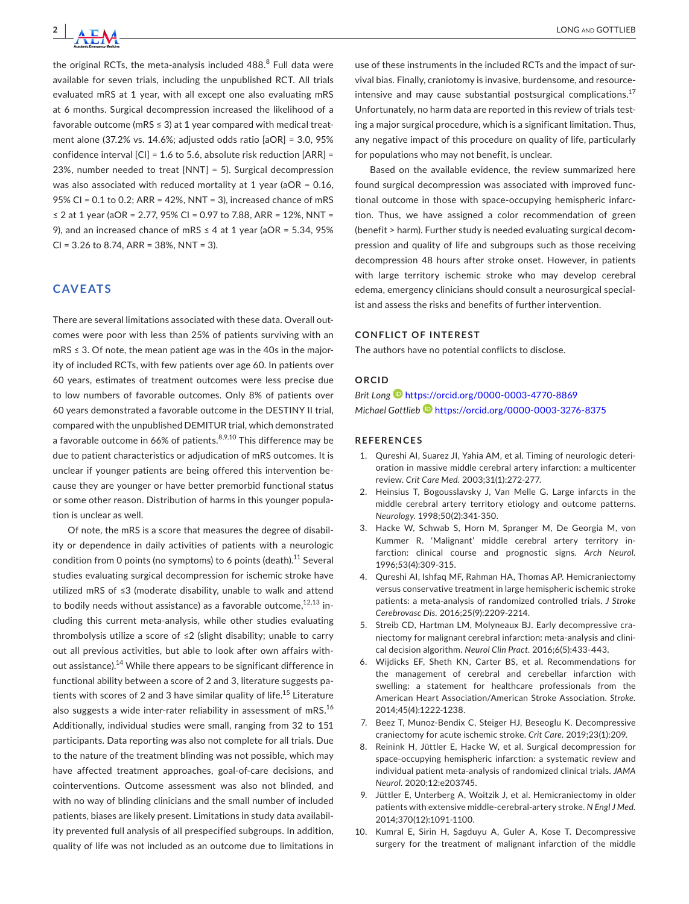

the original RCTs, the meta-analysis included 488. $^8$  Full data were available for seven trials, including the unpublished RCT. All trials evaluated mRS at 1 year, with all except one also evaluating mRS at 6 months. Surgical decompression increased the likelihood of a favorable outcome (mRS  $\leq$  3) at 1 year compared with medical treatment alone (37.2% vs. 14.6%; adjusted odds ratio [aOR] = 3.0, 95% confidence interval [CI] = 1.6 to 5.6, absolute risk reduction [ARR] = 23%, number needed to treat [NNT] = 5). Surgical decompression was also associated with reduced mortality at 1 year (aOR = 0.16, 95% CI = 0.1 to 0.2; ARR = 42%, NNT = 3), increased chance of mRS ≤ 2 at 1 year (aOR = 2.77, 95% CI = 0.97 to 7.88, ARR = 12%, NNT = 9), and an increased chance of mRS  $\leq$  4 at 1 year (aOR = 5.34, 95%  $CI = 3.26$  to 8.74, ARR = 38%, NNT = 3).

## **CAVEATS**

There are several limitations associated with these data. Overall outcomes were poor with less than 25% of patients surviving with an mRS ≤ 3. Of note, the mean patient age was in the 40s in the majority of included RCTs, with few patients over age 60. In patients over 60 years, estimates of treatment outcomes were less precise due to low numbers of favorable outcomes. Only 8% of patients over 60 years demonstrated a favorable outcome in the DESTINY II trial, compared with the unpublished DEMITUR trial, which demonstrated a favorable outcome in 66% of patients.  $8,9,10$  This difference may be due to patient characteristics or adjudication of mRS outcomes. It is unclear if younger patients are being offered this intervention because they are younger or have better premorbid functional status or some other reason. Distribution of harms in this younger population is unclear as well.

Of note, the mRS is a score that measures the degree of disability or dependence in daily activities of patients with a neurologic condition from 0 points (no symptoms) to 6 points (death).<sup>11</sup> Several studies evaluating surgical decompression for ischemic stroke have utilized mRS of ≤3 (moderate disability, unable to walk and attend to bodily needs without assistance) as a favorable outcome,  $12,13$  including this current meta-analysis, while other studies evaluating thrombolysis utilize a score of ≤2 (slight disability; unable to carry out all previous activities, but able to look after own affairs without assistance).<sup>14</sup> While there appears to be significant difference in functional ability between a score of 2 and 3, literature suggests patients with scores of 2 and 3 have similar quality of life.<sup>15</sup> Literature also suggests a wide inter-rater reliability in assessment of mRS. $^{16}$ Additionally, individual studies were small, ranging from 32 to 151 participants. Data reporting was also not complete for all trials. Due to the nature of the treatment blinding was not possible, which may have affected treatment approaches, goal-of-care decisions, and cointerventions. Outcome assessment was also not blinded, and with no way of blinding clinicians and the small number of included patients, biases are likely present. Limitations in study data availability prevented full analysis of all prespecified subgroups. In addition, quality of life was not included as an outcome due to limitations in

use of these instruments in the included RCTs and the impact of survival bias. Finally, craniotomy is invasive, burdensome, and resourceintensive and may cause substantial postsurgical complications.<sup>17</sup> Unfortunately, no harm data are reported in this review of trials testing a major surgical procedure, which is a significant limitation. Thus, any negative impact of this procedure on quality of life, particularly for populations who may not benefit, is unclear.

Based on the available evidence, the review summarized here found surgical decompression was associated with improved functional outcome in those with space-occupying hemispheric infarction. Thus, we have assigned a color recommendation of green (benefit > harm). Further study is needed evaluating surgical decompression and quality of life and subgroups such as those receiving decompression 48 hours after stroke onset. However, in patients with large territory ischemic stroke who may develop cerebral edema, emergency clinicians should consult a neurosurgical specialist and assess the risks and benefits of further intervention.

#### **CONFLICT OF INTEREST**

The authors have no potential conflicts to disclose.

#### **ORCID**

*Brit Long* <https://orcid.org/0000-0003-4770-8869> *Michael Gottlie[b](https://orcid.org/0000-0003-3276-8375)* <https://orcid.org/0000-0003-3276-8375>

#### **REFERENCES**

- 1. Qureshi AI, Suarez JI, Yahia AM, et al. Timing of neurologic deterioration in massive middle cerebral artery infarction: a multicenter review. *Crit Care Med.* 2003;31(1):272-277.
- 2. Heinsius T, Bogousslavsky J, Van Melle G. Large infarcts in the middle cerebral artery territory etiology and outcome patterns. *Neurology.* 1998;50(2):341-350.
- 3. Hacke W, Schwab S, Horn M, Spranger M, De Georgia M, von Kummer R. 'Malignant' middle cerebral artery territory infarction: clinical course and prognostic signs. *Arch Neurol.* 1996;53(4):309-315.
- 4. Qureshi AI, Ishfaq MF, Rahman HA, Thomas AP. Hemicraniectomy versus conservative treatment in large hemispheric ischemic stroke patients: a meta-analysis of randomized controlled trials. *J Stroke Cerebrovasc Dis.* 2016;25(9):2209-2214.
- 5. Streib CD, Hartman LM, Molyneaux BJ. Early decompressive craniectomy for malignant cerebral infarction: meta-analysis and clinical decision algorithm. *Neurol Clin Pract.* 2016;6(5):433-443.
- 6. Wijdicks EF, Sheth KN, Carter BS, et al. Recommendations for the management of cerebral and cerebellar infarction with swelling: a statement for healthcare professionals from the American Heart Association/American Stroke Association. *Stroke.* 2014;45(4):1222-1238.
- 7. Beez T, Munoz-Bendix C, Steiger HJ, Beseoglu K. Decompressive craniectomy for acute ischemic stroke. *Crit Care.* 2019;23(1):209.
- Reinink H, Jüttler E, Hacke W, et al. Surgical decompression for space-occupying hemispheric infarction: a systematic review and individual patient meta-analysis of randomized clinical trials. *JAMA Neurol.* 2020;12:e203745.
- 9. Jüttler E, Unterberg A, Woitzik J, et al. Hemicraniectomy in older patients with extensive middle-cerebral-artery stroke. *N Engl J Med.* 2014;370(12):1091-1100.
- 10. Kumral E, Sirin H, Sagduyu A, Guler A, Kose T. Decompressive surgery for the treatment of malignant infarction of the middle